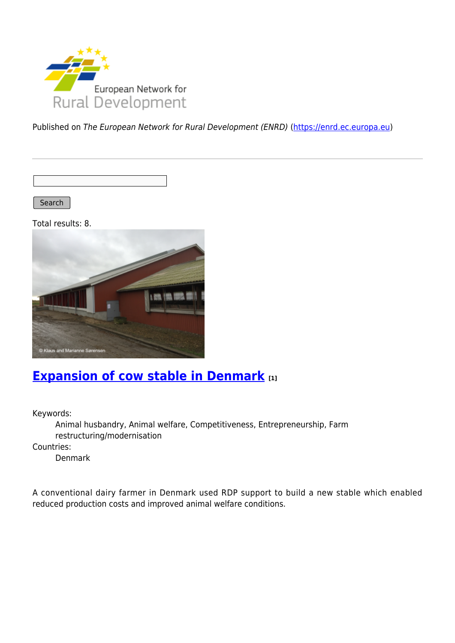

Published on The European Network for Rural Development (ENRD) [\(https://enrd.ec.europa.eu](https://enrd.ec.europa.eu))

Search |

Total results: 8.



### **[Expansion of cow stable in Denmark](https://enrd.ec.europa.eu/projects-practice/expansion-cow-stable-denmark_en) [1]**

Keywords:

Animal husbandry, Animal welfare, Competitiveness, Entrepreneurship, Farm restructuring/modernisation

Countries:

Denmark

A conventional dairy farmer in Denmark used RDP support to build a new stable which enabled reduced production costs and improved animal welfare conditions.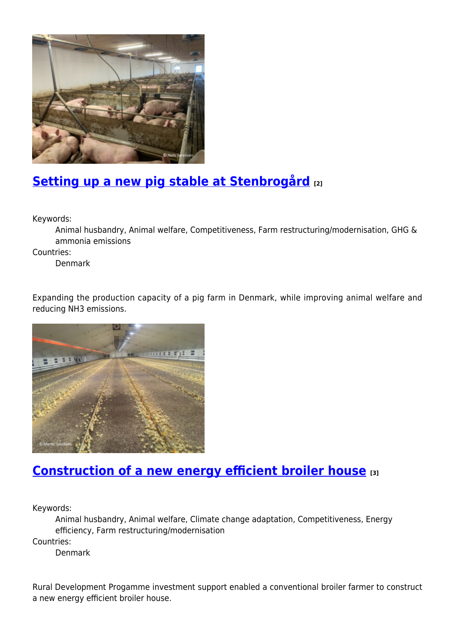

# **[Setting up a new pig stable at Stenbrogård](https://enrd.ec.europa.eu/projects-practice/setting-new-pig-stable-stenbrogard_en) [2]**

Keywords:

Animal husbandry, Animal welfare, Competitiveness, Farm restructuring/modernisation, GHG & ammonia emissions

Countries:

Denmark

Expanding the production capacity of a pig farm in Denmark, while improving animal welfare and reducing NH3 emissions.



#### **[Construction of a new energy efficient broiler house](https://enrd.ec.europa.eu/projects-practice/construction-new-energy-efficient-broiler-house_en) [3]**

Keywords:

Animal husbandry, Animal welfare, Climate change adaptation, Competitiveness, Energy efficiency, Farm restructuring/modernisation

Countries:

Denmark

Rural Development Progamme investment support enabled a conventional broiler farmer to construct a new energy efficient broiler house.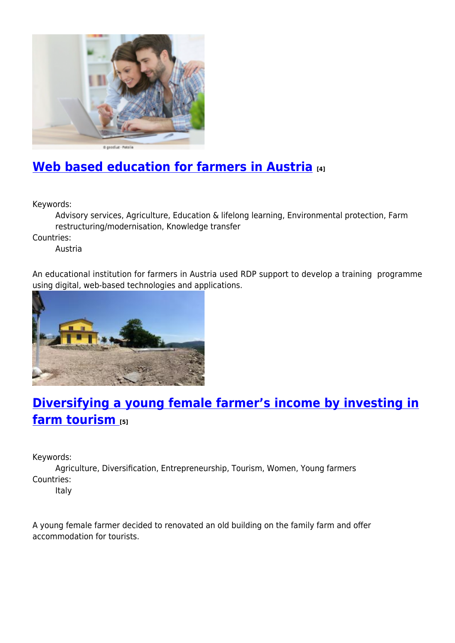

# **[Web based education for farmers in Austria](https://enrd.ec.europa.eu/projects-practice/web-based-education-farmers-austria_en) [4]**

Keywords:

Advisory services, Agriculture, Education & lifelong learning, Environmental protection, Farm restructuring/modernisation, Knowledge transfer

Countries:

Austria

An educational institution for farmers in Austria used RDP support to develop a training programme using digital, web-based technologies and applications.



# **[Diversifying a young female farmer's income by investing in](https://enrd.ec.europa.eu/projects-practice/diversifying-young-female-farmers-income-investing-farm-tourism_en) [farm tourism](https://enrd.ec.europa.eu/projects-practice/diversifying-young-female-farmers-income-investing-farm-tourism_en) [5]**

Keywords:

Agriculture, Diversification, Entrepreneurship, Tourism, Women, Young farmers Countries:

Italy

A young female farmer decided to renovated an old building on the family farm and offer accommodation for tourists.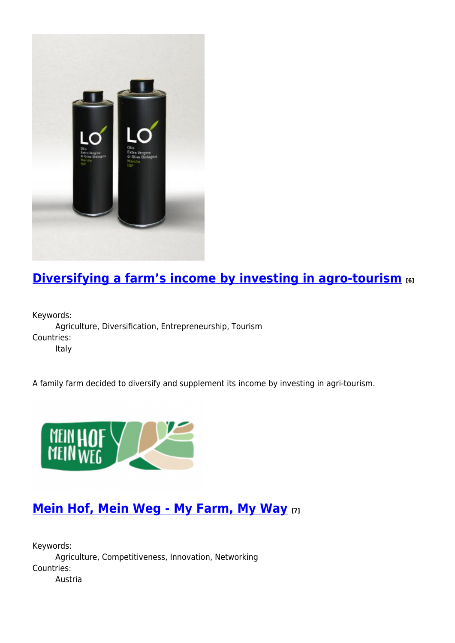

# **[Diversifying a farm's income by investing in agro-tourism](https://enrd.ec.europa.eu/projects-practice/diversifying-farms-income-investing-agro-tourism_en) [6]**

Keywords: Agriculture, Diversification, Entrepreneurship, Tourism Countries: Italy

A family farm decided to diversify and supplement its income by investing in agri-tourism.



#### **[Mein Hof, Mein Weg - My Farm, My Way](https://enrd.ec.europa.eu/projects-practice/mein-hof-mein-weg-my-farm-my-way_en) [7]**

Keywords: Agriculture, Competitiveness, Innovation, Networking Countries: Austria